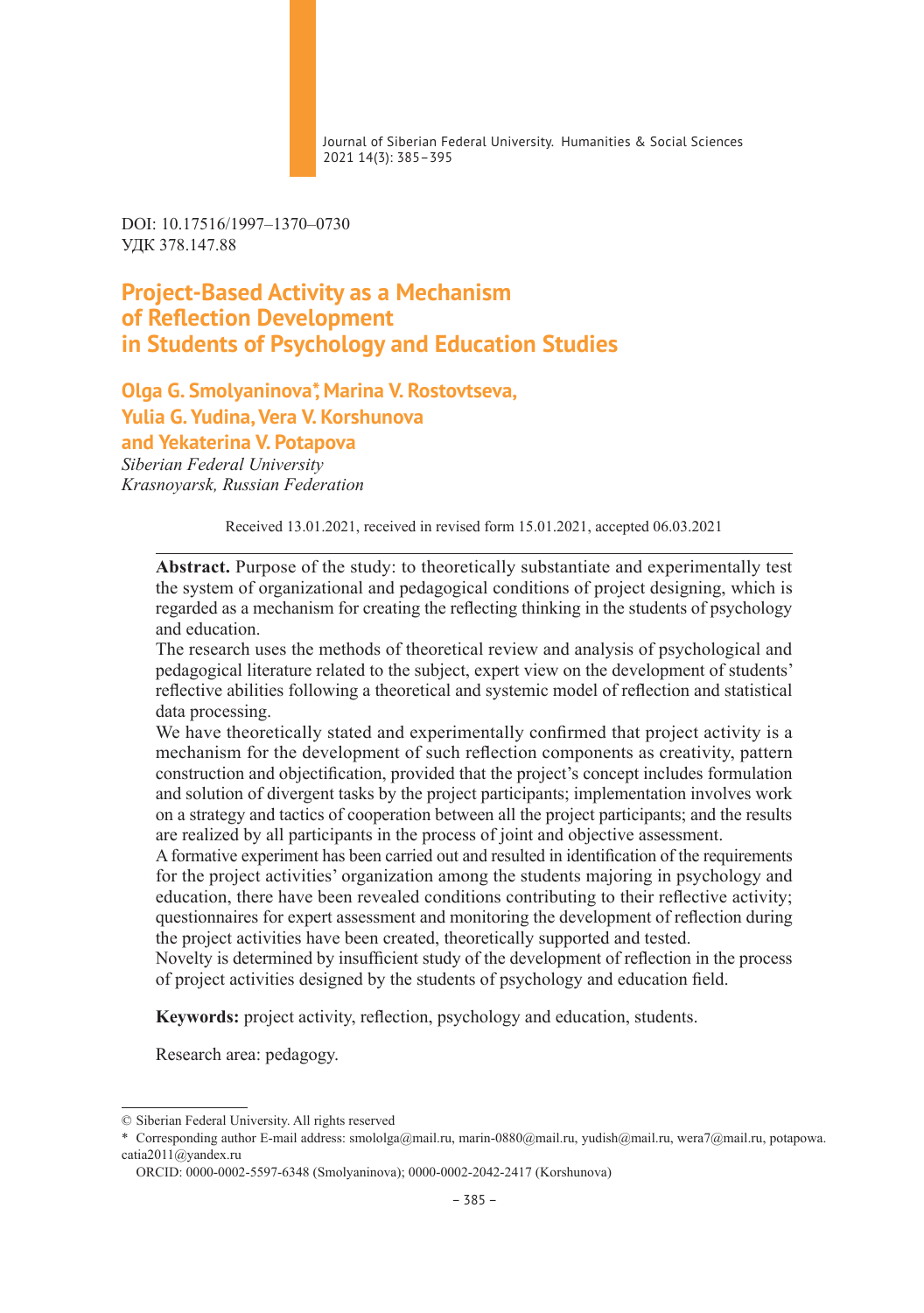Journal of Siberian Federal University. Humanities & Social Sciences 2021 14(3): 385–395

DOI: 10.17516/1997–1370–0730 УДК 378.147.88

# **Project-Based Activity as a Mechanism of Reflection Development in Students of Psychology and Education Studies**

**Olga G. Smolyaninova\*, Marina V. Rostovtseva, Yulia G. Yudina, Vera V. Korshunova and Yekaterina V. Potapova** *Siberian Federal University Krasnoyarsk, Russian Federation*

Received 13.01.2021, received in revised form 15.01.2021, accepted 06.03.2021

**Abstract.** Purpose of the study: to theoretically substantiate and experimentally test the system of organizational and pedagogical conditions of project designing, which is regarded as a mechanism for creating the reflecting thinking in the students of psychology and education.

The research uses the methods of theoretical review and analysis of psychological and pedagogical literature related to the subject, expert view on the development of students' reflective abilities following a theoretical and systemic model of reflection and statistical data processing.

We have theoretically stated and experimentally confirmed that project activity is a mechanism for the development of such reflection components as creativity, pattern construction and objectification, provided that the project's concept includes formulation and solution of divergent tasks by the project participants; implementation involves work on a strategy and tactics of cooperation between all the project participants; and the results are realized by all participants in the process of joint and objective assessment.

A formative experiment has been carried out and resulted in identification of the requirements for the project activities' organization among the students majoring in psychology and education, there have been revealed conditions contributing to their reflective activity; questionnaires for expert assessment and monitoring the development of reflection during the project activities have been created, theoretically supported and tested.

Novelty is determined by insufficient study of the development of reflection in the process of project activities designed by the students of psychology and education field.

**Keywords:** project activity, reflection, psychology and education, students.

Research area: pedagogy.

<sup>©</sup> Siberian Federal University. All rights reserved

<sup>\*</sup> Corresponding author E-mail address: smololga@mail.ru, marin-0880@mail.ru, yudish@mail.ru, wera7@mail.ru, potapowa. catia2011@yandex.ru

ORCID: 0000-0002-5597-6348 (Smolyaninova); 0000-0002-2042-2417 (Korshunova)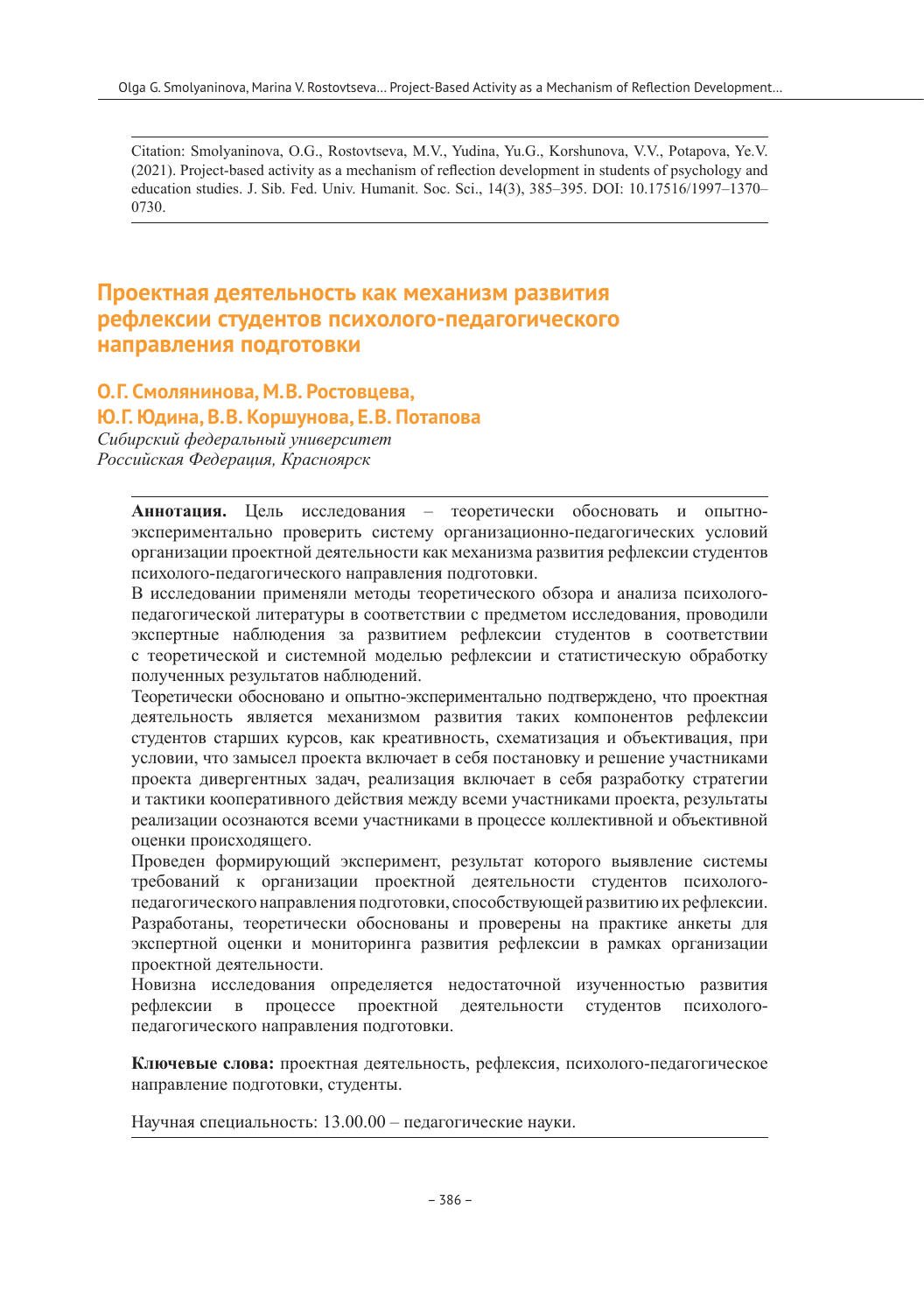Citation: Smolyaninova, O.G., Rostovtseva, M.V., Yudina, Yu.G., Korshunova, V.V., Potapova, Ye.V. (2021). Project-based activity as a mechanism of reflection development in students of psychology and education studies. J. Sib. Fed. Univ. Humanit. Soc. Sci., 14(3), 385–395. DOI: 10.17516/1997–1370– 0730.

# **Проектная деятельность как механизм развития рефлексии студентов психолого-педагогического направления подготовки**

## **О.Г. Смолянинова, М.В. Ростовцева,**

### **Ю.Г. Юдина, В.В. Коршунова, Е.В. Потапова**

*Сибирский федеральный университет Российская Федерация, Красноярск*

> **Аннотация.** Цель исследования – теоретически обосновать и опытноэкспериментально проверить систему организационно-педагогических условий организации проектной деятельности как механизма развития рефлексии студентов психолого-педагогического направления подготовки.

> В исследовании применяли методы теоретического обзора и анализа психологопедагогической литературы в соответствии с предметом исследования, проводили экспертные наблюдения за развитием рефлексии студентов в соответствии с теоретической и системной моделью рефлексии и статистическую обработку полученных результатов наблюдений.

> Теоретически обосновано и опытно-экспериментально подтверждено, что проектная деятельность является механизмом развития таких компонентов рефлексии студентов старших курсов, как креативность, схематизация и объективация, при условии, что замысел проекта включает в себя постановку и решение участниками проекта дивергентных задач, реализация включает в себя разработку стратегии и тактики кооперативного действия между всеми участниками проекта, результаты реализации осознаются всеми участниками в процессе коллективной и объективной оценки происходящего.

> Проведен формирующий эксперимент, результат которого выявление системы требований к организации проектной деятельности студентов психологопедагогического направления подготовки, способствующей развитию их рефлексии. Разработаны, теоретически обоснованы и проверены на практике анкеты для экспертной оценки и мониторинга развития рефлексии в рамках организации проектной деятельности.

> Новизна исследования определяется недостаточной изученностью развития рефлексии в процессе проектной деятельности студентов психологопедагогического направления подготовки.

> **Ключевые слова:** проектная деятельность, рефлексия, психолого-педагогическое направление подготовки, студенты.

Научная специальность: 13.00.00 – педагогические науки.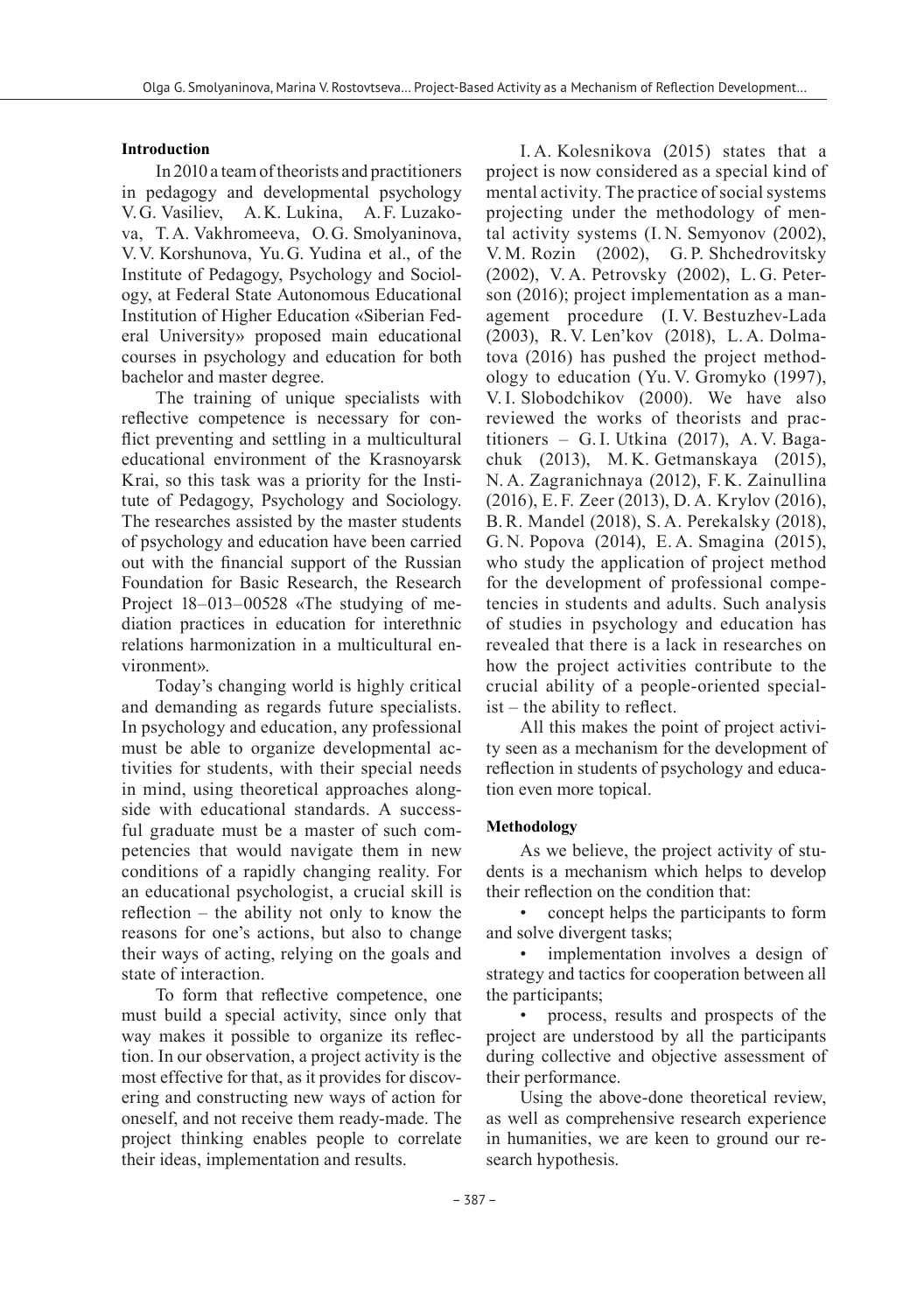#### **Introduction**

In 2010 a team of theorists and practitioners in pedagogy and developmental psychology V.G. Vasiliev, A.K. Lukina, A.F. Luzakova, T.A. Vakhromeeva, O.G. Smolyaninova, V.V. Korshunova, Yu.G. Yudina et al., of the Institute of Pedagogy, Psychology and Sociology, at Federal State Autonomous Educational Institution of Higher Education «Siberian Federal University» proposed main educational courses in psychology and education for both bachelor and master degree.

The training of unique specialists with reflective competence is necessary for conflict preventing and settling in a multicultural educational environment of the Krasnoyarsk Krai, so this task was a priority for the Institute of Pedagogy, Psychology and Sociology. The researches assisted by the master students of psychology and education have been carried out with the financial support of the Russian Foundation for Basic Research, the Research Project 18–013–00528 «The studying of mediation practices in education for interethnic relations harmonization in a multicultural environment».

Today's changing world is highly critical and demanding as regards future specialists. In psychology and education, any professional must be able to organize developmental activities for students, with their special needs in mind, using theoretical approaches alongside with educational standards. A successful graduate must be a master of such competencies that would navigate them in new conditions of a rapidly changing reality. For an educational psychologist, a crucial skill is reflection – the ability not only to know the reasons for one's actions, but also to change their ways of acting, relying on the goals and state of interaction.

To form that reflective competence, one must build a special activity, since only that way makes it possible to organize its reflection. In our observation, a project activity is the most effective for that, as it provides for discovering and constructing new ways of action for oneself, and not receive them ready-made. The project thinking enables people to correlate their ideas, implementation and results.

I. A. Kolesnikova (2015) states that a project is now considered as a special kind of mental activity. The practice of social systems projecting under the methodology of mental activity systems (I. N. Semyonov (2002), V. M. Rozin (2002), G. P. Shchedrovitsky (2002), V. A. Petrovsky (2002), L. G. Peterson (2016); project implementation as a management procedure (I. V. Bestuzhev-Lada (2003), R. V. Len'kov (2018), L. A. Dolmatova (2016) has pushed the project methodology to education (Yu. V. Gromyko (1997), V.I. Slobodchikov (2000). We have also reviewed the works of theorists and practitioners – G.I. Utkina (2017), A. V. Bagachuk (2013), M. K. Getmanskaya (2015), N. A. Zagranichnaya (2012), F. K. Zainullina (2016), E. F. Zeer (2013), D. A. Krylov (2016), B.R. Mandel (2018), S. A. Perekalsky (2018), G. N. Popova (2014), E. A. Smagina (2015), who study the application of project method for the development of professional competencies in students and adults. Such analysis of studies in psychology and education has revealed that there is a lack in researches on how the project activities contribute to the crucial ability of a people-oriented specialist – the ability to reflect.

All this makes the point of project activity seen as a mechanism for the development of reflection in students of psychology and education even more topical.

#### **Methodology**

As we believe, the project activity of students is a mechanism which helps to develop their reflection on the condition that:

• concept helps the participants to form and solve divergent tasks;

implementation involves a design of strategy and tactics for cooperation between all the participants;

• process, results and prospects of the project are understood by all the participants during collective and objective assessment of their performance.

Using the above-done theoretical review, as well as comprehensive research experience in humanities, we are keen to ground our research hypothesis.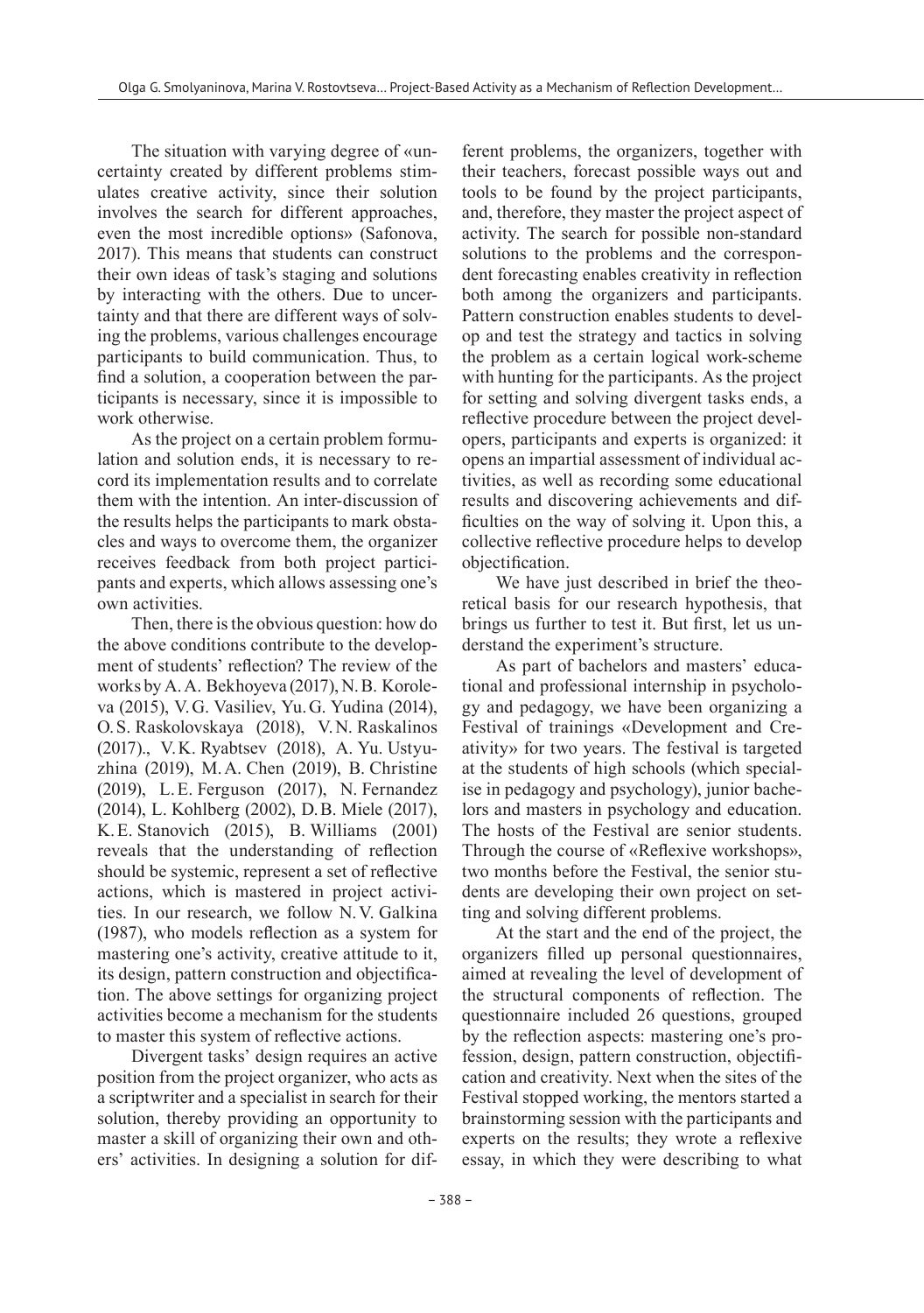The situation with varying degree of «uncertainty created by different problems stimulates creative activity, since their solution involves the search for different approaches, even the most incredible options» (Safonova, 2017). This means that students can construct their own ideas of task's staging and solutions by interacting with the others. Due to uncertainty and that there are different ways of solving the problems, various challenges encourage participants to build communication. Thus, to find a solution, a cooperation between the participants is necessary, since it is impossible to work otherwise.

As the project on a certain problem formulation and solution ends, it is necessary to record its implementation results and to correlate them with the intention. An inter-discussion of the results helps the participants to mark obstacles and ways to overcome them, the organizer receives feedback from both project participants and experts, which allows assessing one's own activities.

Then, there is the obvious question: how do the above conditions contribute to the development of students' reflection? The review of the works by A.A. Bekhoyeva (2017), N.B. Koroleva (2015), V.G. Vasiliev, Yu.G. Yudina (2014), O.S. Raskolovskaya (2018), V.N. Raskalinos (2017)., V.K. Ryabtsev (2018), A. Yu. Ustyuzhina (2019), M.A. Chen (2019), B. Christine (2019), L.E. Ferguson (2017), N. Fernandez (2014), L. Kohlberg (2002), D.B. Miele (2017), K.E. Stanovich (2015), B. Williams (2001) reveals that the understanding of reflection should be systemic, represent a set of reflective actions, which is mastered in project activities. In our research, we follow N.V. Galkina (1987), who models reflection as a system for mastering one's activity, creative attitude to it, its design, pattern construction and objectification. The above settings for organizing project activities become a mechanism for the students to master this system of reflective actions.

Divergent tasks' design requires an active position from the project organizer, who acts as a scriptwriter and a specialist in search for their solution, thereby providing an opportunity to master a skill of organizing their own and others' activities. In designing a solution for different problems, the organizers, together with their teachers, forecast possible ways out and tools to be found by the project participants, and, therefore, they master the project aspect of activity. The search for possible non-standard solutions to the problems and the correspondent forecasting enables creativity in reflection both among the organizers and participants. Pattern construction enables students to develop and test the strategy and tactics in solving the problem as a certain logical work-scheme with hunting for the participants. As the project for setting and solving divergent tasks ends, a reflective procedure between the project developers, participants and experts is organized: it opens an impartial assessment of individual activities, as well as recording some educational results and discovering achievements and difficulties on the way of solving it. Upon this, a collective reflective procedure helps to develop objectification.

We have just described in brief the theoretical basis for our research hypothesis, that brings us further to test it. But first, let us understand the experiment's structure.

As part of bachelors and masters' educational and professional internship in psychology and pedagogy, we have been organizing a Festival of trainings «Development and Creativity» for two years. The festival is targeted at the students of high schools (which specialise in pedagogy and psychology), junior bachelors and masters in psychology and education. The hosts of the Festival are senior students. Through the course of «Reflexive workshops», two months before the Festival, the senior students are developing their own project on setting and solving different problems.

At the start and the end of the project, the organizers filled up personal questionnaires, aimed at revealing the level of development of the structural components of reflection. The questionnaire included 26 questions, grouped by the reflection aspects: mastering one's profession, design, pattern construction, objectification and creativity. Next when the sites of the Festival stopped working, the mentors started a brainstorming session with the participants and experts on the results; they wrote a reflexive essay, in which they were describing to what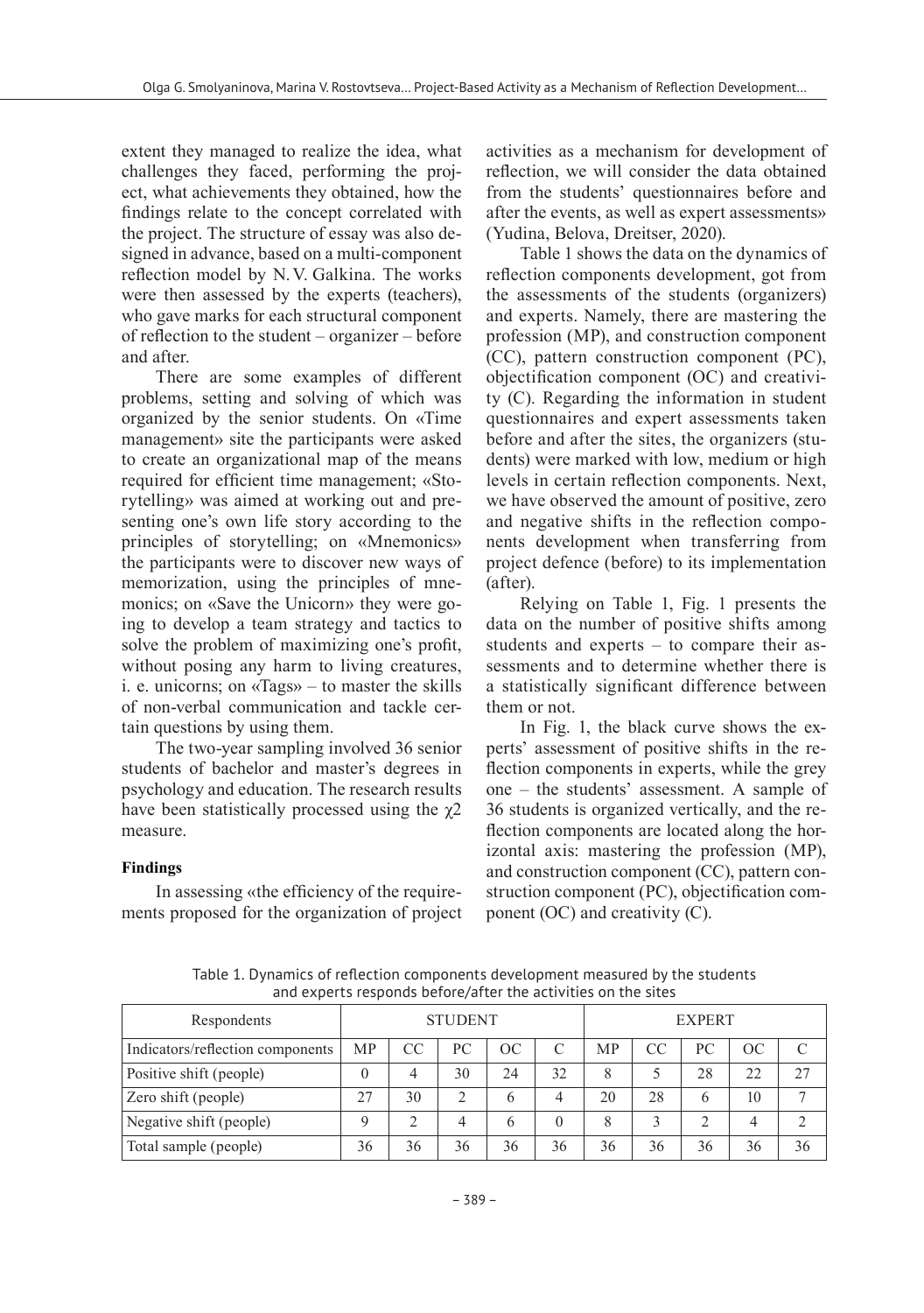extent they managed to realize the idea, what challenges they faced, performing the project, what achievements they obtained, how the findings relate to the concept correlated with the project. The structure of essay was also designed in advance, based on a multi-component reflection model by N.V. Galkina. The works were then assessed by the experts (teachers), who gave marks for each structural component of reflection to the student – organizer – before and after.

There are some examples of different problems, setting and solving of which was organized by the senior students. On «Time management» site the participants were asked to create an organizational map of the means required for efficient time management; «Storytelling» was aimed at working out and presenting one's own life story according to the principles of storytelling; on «Mnemonics» the participants were to discover new ways of memorization, using the principles of mnemonics; on «Save the Unicorn» they were going to develop a team strategy and tactics to solve the problem of maximizing one's profit, without posing any harm to living creatures, i. e. unicorns; on «Tags» – to master the skills of non-verbal communication and tackle certain questions by using them.

The two-year sampling involved 36 senior students of bachelor and master's degrees in psychology and education. The research results have been statistically processed using the  $\chi$ 2 measure.

### **Findings**

In assessing «the efficiency of the requirements proposed for the organization of project

activities as a mechanism for development of reflection, we will consider the data obtained from the students' questionnaires before and after the events, as well as expert assessments» (Yudina, Belova, Dreitser, 2020).

Table 1 shows the data on the dynamics of reflection components development, got from the assessments of the students (organizers) and experts. Namely, there are mastering the profession (MP), and construction component (CC), pattern construction component (PC), objectification component (OC) and creativity (C). Regarding the information in student questionnaires and expert assessments taken before and after the sites, the organizers (students) were marked with low, medium or high levels in certain reflection components. Next, we have observed the amount of positive, zero and negative shifts in the reflection components development when transferring from project defence (before) to its implementation (after).

Relying on Table 1, Fig. 1 presents the data on the number of positive shifts among students and experts – to compare their assessments and to determine whether there is a statistically significant difference between them or not.

In Fig. 1, the black curve shows the experts' assessment of positive shifts in the reflection components in experts, while the grey one – the students' assessment. A sample of 36 students is organized vertically, and the reflection components are located along the horizontal axis: mastering the profession (MP), and construction component (CC), pattern construction component (PC), objectification component (OC) and creativity (C).

Table 1. Dynamics of reflection components development measured by the students and experts responds before/after the activities on the sites

| Respondents                      | <b>STUDENT</b> |    |    | <b>EXPERT</b> |    |    |    |    |    |     |
|----------------------------------|----------------|----|----|---------------|----|----|----|----|----|-----|
| Indicators/reflection components | <b>MP</b>      | CC | PC | ОC            | C  | MP | CC | PС | ОC | ⌒   |
| Positive shift (people)          |                |    | 30 | 24            | 32 | 8  |    | 28 | 22 | 2.7 |
| Zero shift (people)              | 27             | 30 | ∍  | b             |    | 20 | 28 | 6  | 10 |     |
| Negative shift (people)          | Q              |    |    | 6             |    | 8  |    |    |    |     |
| Total sample (people)            | 36             | 36 | 36 | 36            | 36 | 36 | 36 | 36 | 36 | 36  |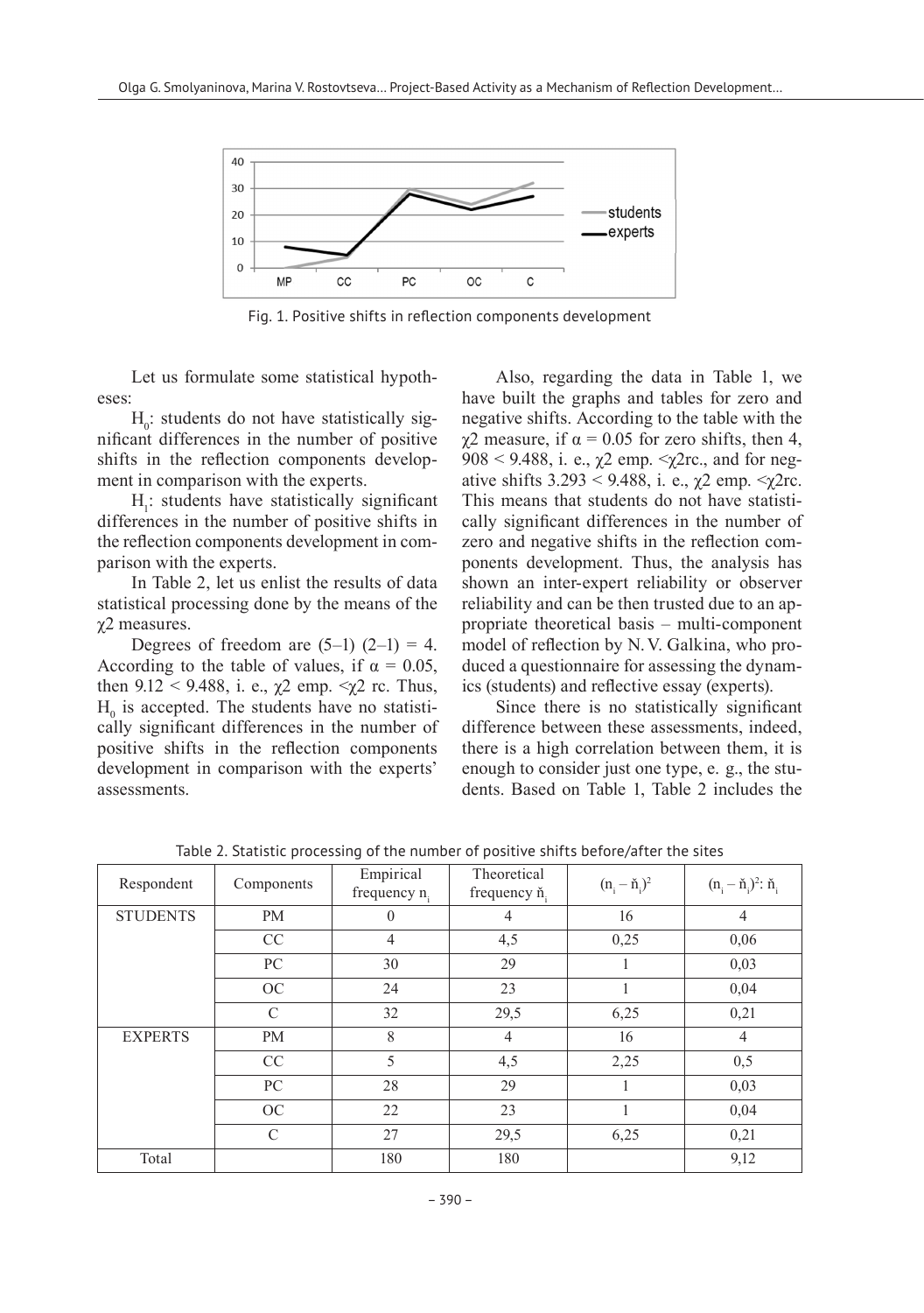

Fig. 1. Positive shifts in reflection components development

Let us formulate some statistical hypotheses:

 $H<sub>0</sub>$ : students do not have statistically significant differences in the number of positive shifts in the reflection components development in comparison with the experts.

 $H<sub>1</sub>$ : students have statistically significant differences in the number of positive shifts in the reflection components development in comparison with the experts.

In Table 2, let us enlist the results of data statistical processing done by the means of the χ2 measures.

Degrees of freedom are  $(5-1)$   $(2-1) = 4$ . According to the table of values, if  $\alpha = 0.05$ , then  $9.12 < 9.488$ , i. e.,  $\chi$ 2 emp.  $\langle \chi$ 2 rc. Thus,  $H<sub>0</sub>$  is accepted. The students have no statistically significant differences in the number of positive shifts in the reflection components development in comparison with the experts' assessments.

Also, regarding the data in Table 1, we have built the graphs and tables for zero and negative shifts. According to the table with the  $γ2$  measure, if  $α = 0.05$  for zero shifts, then 4, 908 < 9.488, i. e.,  $\chi$ 2 emp. < $\chi$ 2rc., and for negative shifts  $3.293 < 9.488$ , i. e.,  $\chi$ 2 emp.  $\langle \chi$ 2rc. This means that students do not have statistically significant differences in the number of zero and negative shifts in the reflection components development. Thus, the analysis has shown an inter-expert reliability or observer reliability and can be then trusted due to an appropriate theoretical basis – multi-component model of reflection by N.V. Galkina, who produced a questionnaire for assessing the dynamics (students) and reflective essay (experts).

Since there is no statistically significant difference between these assessments, indeed, there is a high correlation between them, it is enough to consider just one type, e. g., the students. Based on Table 1, Table 2 includes the

| Respondent      | Components    | Empirical<br>frequency n <sub>i</sub> | Theoretical<br>frequency ň | $(n_i - \check{n}_i)^2$ | $(n_i - \check{n}_i)^2$ : $\check{n}_i$ |
|-----------------|---------------|---------------------------------------|----------------------------|-------------------------|-----------------------------------------|
| <b>STUDENTS</b> | <b>PM</b>     | 0                                     | 4                          | 16                      | $\overline{4}$                          |
|                 | CC            | $\overline{4}$                        | 4,5                        | 0,25                    | 0,06                                    |
|                 | PC            | 30                                    | 29                         |                         | 0,03                                    |
|                 | OC            | 24                                    | 23                         |                         | 0.04                                    |
|                 | $\mathcal{C}$ | 32                                    | 29,5                       | 6,25                    | 0,21                                    |
| <b>EXPERTS</b>  | <b>PM</b>     | 8                                     | $\overline{4}$             | 16                      | $\overline{4}$                          |
|                 | CC            | 5                                     | 4,5                        | 2,25                    | 0,5                                     |
|                 | PC            | 28                                    | 29                         |                         | 0,03                                    |
|                 | OC            | 22                                    | 23                         |                         | 0.04                                    |
|                 | $\mathcal{C}$ | 27                                    | 29,5                       | 6,25                    | 0,21                                    |
| Total           |               | 180                                   | 180                        |                         | 9,12                                    |

Table 2. Statistic processing of the number of positive shifts before/after the sites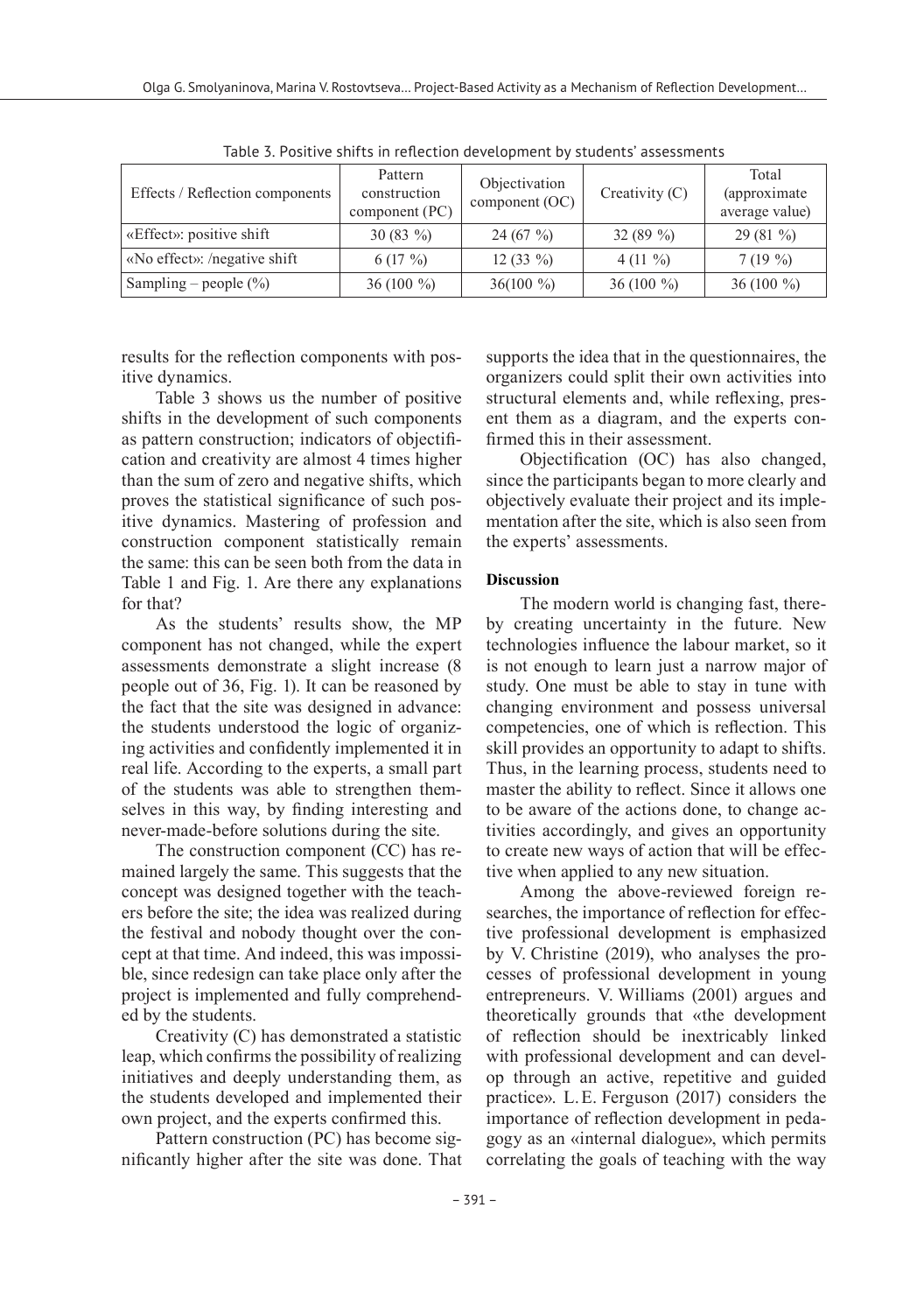| Effects / Reflection components | Pattern<br>construction<br>component $(PC)$ | Objectivation<br>component (OC) | Creativity $(C)$ | Total<br>(approximate)<br>average value) |
|---------------------------------|---------------------------------------------|---------------------------------|------------------|------------------------------------------|
| «Effect»: positive shift        | $30(83\%)$                                  | 24(67%)                         | 32 $(89\%$       | $29(81\%)$                               |
| «No effect»: /negative shift    | $6(17\%)$                                   | $12(33\%)$                      | 4 $(11 \%)$      | $7(19\%)$                                |
| Sampling – people $(\% )$       | 36 (100 $\%$ )                              | $36(100\%)$                     | 36 (100 $\%$ )   | 36 (100 $\%$ )                           |

Table 3. Positive shifts in reflection development by students' assessments

results for the reflection components with positive dynamics.

Table 3 shows us the number of positive shifts in the development of such components as pattern construction; indicators of objectification and creativity are almost 4 times higher than the sum of zero and negative shifts, which proves the statistical significance of such positive dynamics. Mastering of profession and construction component statistically remain the same: this can be seen both from the data in Table 1 and Fig. 1. Are there any explanations for that?

As the students' results show, the MP component has not changed, while the expert assessments demonstrate a slight increase (8 people out of 36, Fig. 1). It can be reasoned by the fact that the site was designed in advance: the students understood the logic of organizing activities and confidently implemented it in real life. According to the experts, a small part of the students was able to strengthen themselves in this way, by finding interesting and never-made-before solutions during the site.

The construction component (CC) has remained largely the same. This suggests that the concept was designed together with the teachers before the site; the idea was realized during the festival and nobody thought over the concept at that time. And indeed, this was impossible, since redesign can take place only after the project is implemented and fully comprehended by the students.

Creativity (C) has demonstrated a statistic leap, which confirms the possibility of realizing initiatives and deeply understanding them, as the students developed and implemented their own project, and the experts confirmed this.

Pattern construction (PC) has become significantly higher after the site was done. That

supports the idea that in the questionnaires, the organizers could split their own activities into structural elements and, while reflexing, present them as a diagram, and the experts confirmed this in their assessment.

Objectification (OC) has also changed, since the participants began to more clearly and objectively evaluate their project and its implementation after the site, which is also seen from the experts' assessments.

#### **Discussion**

The modern world is changing fast, thereby creating uncertainty in the future. New technologies influence the labour market, so it is not enough to learn just a narrow major of study. One must be able to stay in tune with changing environment and possess universal competencies, one of which is reflection. This skill provides an opportunity to adapt to shifts. Thus, in the learning process, students need to master the ability to reflect. Since it allows one to be aware of the actions done, to change activities accordingly, and gives an opportunity to create new ways of action that will be effective when applied to any new situation.

Among the above-reviewed foreign researches, the importance of reflection for effective professional development is emphasized by V. Christine (2019), who analyses the processes of professional development in young entrepreneurs. V. Williams (2001) argues and theoretically grounds that «the development of reflection should be inextricably linked with professional development and can develop through an active, repetitive and guided practice». L.E. Ferguson (2017) considers the importance of reflection development in pedagogy as an «internal dialogue», which permits correlating the goals of teaching with the way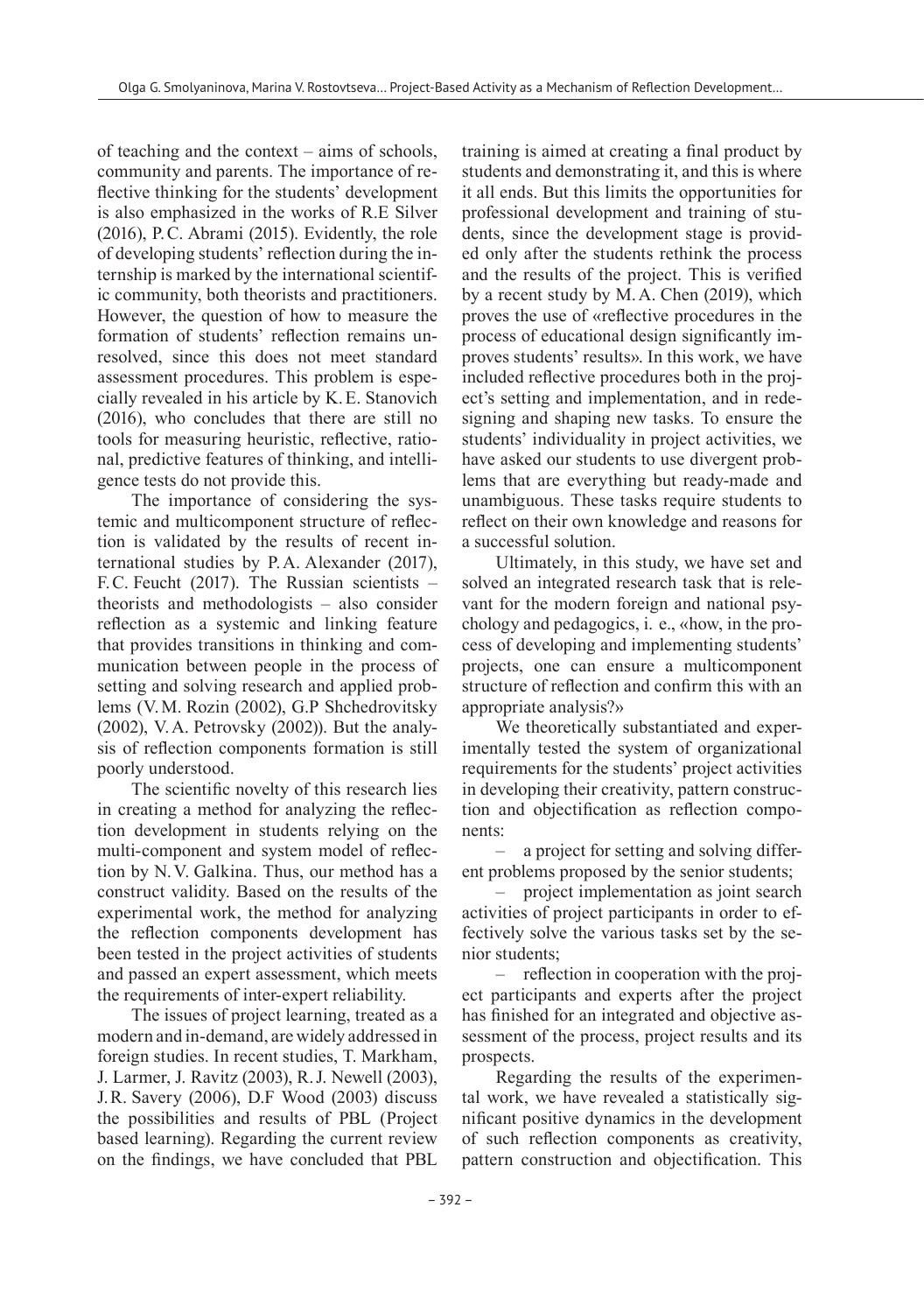of teaching and the context – aims of schools, community and parents. The importance of reflective thinking for the students' development is also emphasized in the works of R.E Silver (2016), P.C. Abrami (2015). Evidently, the role of developing students' reflection during the internship is marked by the international scientific community, both theorists and practitioners. However, the question of how to measure the formation of students' reflection remains unresolved, since this does not meet standard assessment procedures. This problem is especially revealed in his article by K.E. Stanovich (2016), who concludes that there are still no tools for measuring heuristic, reflective, rational, predictive features of thinking, and intelligence tests do not provide this.

The importance of considering the systemic and multicomponent structure of reflection is validated by the results of recent international studies by P.A. Alexander (2017), F.C. Feucht (2017). The Russian scientists – theorists and methodologists – also consider reflection as a systemic and linking feature that provides transitions in thinking and communication between people in the process of setting and solving research and applied problems (V.M. Rozin (2002), G.P Shchedrovitsky (2002), V.A. Petrovsky (2002)). But the analysis of reflection components formation is still poorly understood.

The scientific novelty of this research lies in creating a method for analyzing the reflection development in students relying on the multi-component and system model of reflection by N.V. Galkina. Thus, our method has a construct validity. Based on the results of the experimental work, the method for analyzing the reflection components development has been tested in the project activities of students and passed an expert assessment, which meets the requirements of inter-expert reliability.

The issues of project learning, treated as a modern and in-demand, are widely addressed in foreign studies. In recent studies, T. Markham, J. Larmer, J. Ravitz (2003), R.J. Newell (2003), J.R. Savery (2006), D.F Wood (2003) discuss the possibilities and results of PBL (Project based learning). Regarding the current review on the findings, we have concluded that PBL

training is aimed at creating a final product by students and demonstrating it, and this is where it all ends. But this limits the opportunities for professional development and training of students, since the development stage is provided only after the students rethink the process and the results of the project. This is verified by a recent study by M.A. Chen (2019), which proves the use of «reflective procedures in the process of educational design significantly improves students' results». In this work, we have included reflective procedures both in the project's setting and implementation, and in redesigning and shaping new tasks. To ensure the students' individuality in project activities, we have asked our students to use divergent problems that are everything but ready-made and unambiguous. These tasks require students to reflect on their own knowledge and reasons for a successful solution.

Ultimately, in this study, we have set and solved an integrated research task that is relevant for the modern foreign and national psychology and pedagogics, i. e., «how, in the process of developing and implementing students' projects, one can ensure a multicomponent structure of reflection and confirm this with an appropriate analysis?»

We theoretically substantiated and experimentally tested the system of organizational requirements for the students' project activities in developing their creativity, pattern construction and objectification as reflection components:

‒ a project for setting and solving different problems proposed by the senior students;

‒ project implementation as joint search activities of project participants in order to effectively solve the various tasks set by the senior students;

‒ reflection in cooperation with the project participants and experts after the project has finished for an integrated and objective assessment of the process, project results and its prospects.

Regarding the results of the experimental work, we have revealed a statistically significant positive dynamics in the development of such reflection components as creativity, pattern construction and objectification. This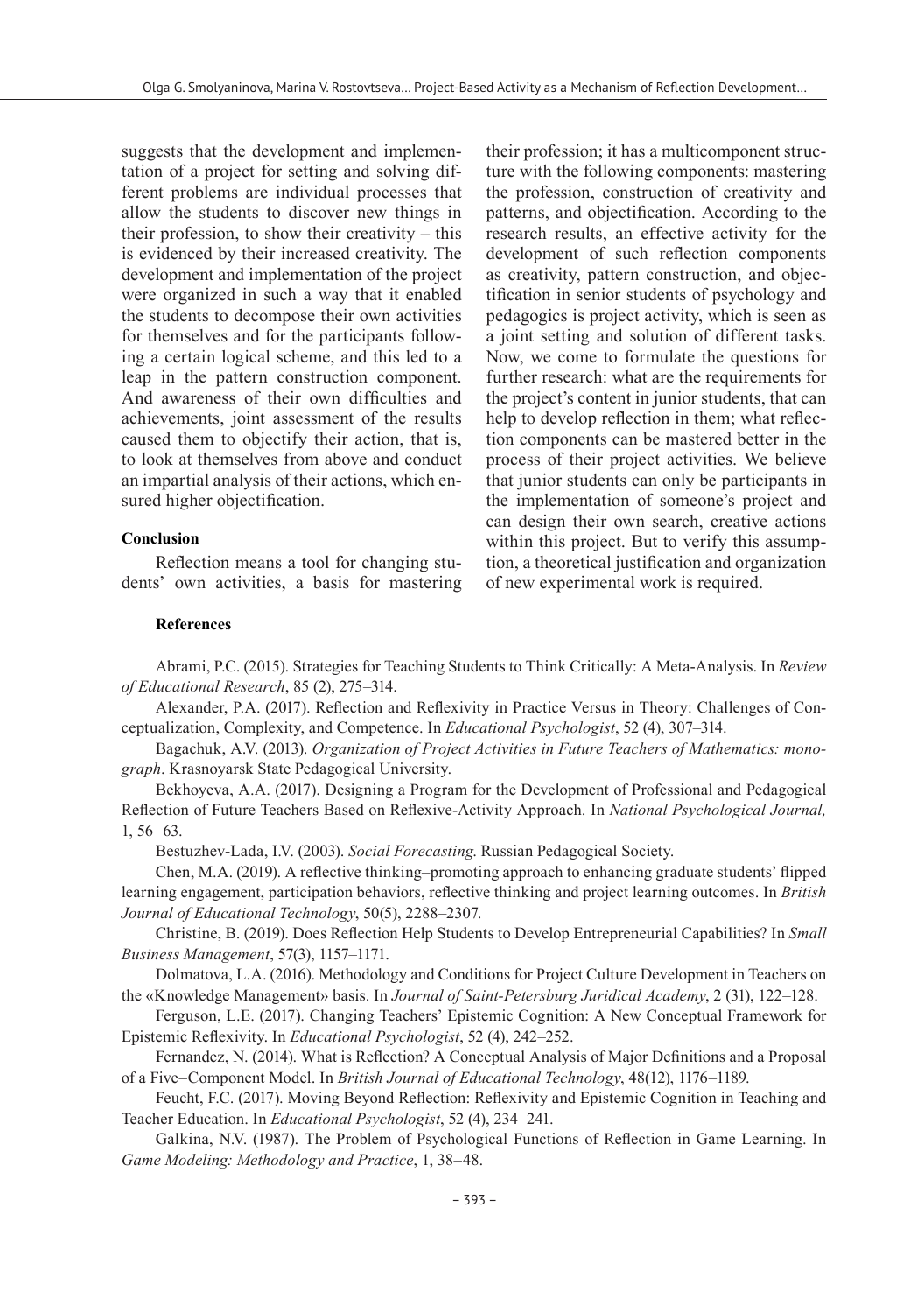suggests that the development and implementation of a project for setting and solving different problems are individual processes that allow the students to discover new things in their profession, to show their creativity – this is evidenced by their increased creativity. The development and implementation of the project were organized in such a way that it enabled the students to decompose their own activities for themselves and for the participants following a certain logical scheme, and this led to a leap in the pattern construction component. And awareness of their own difficulties and achievements, joint assessment of the results caused them to objectify their action, that is, to look at themselves from above and conduct an impartial analysis of their actions, which ensured higher objectification.

#### **Conclusion**

Reflection means a tool for changing students' own activities, a basis for mastering

their profession; it has a multicomponent structure with the following components: mastering the profession, construction of creativity and patterns, and objectification. According to the research results, an effective activity for the development of such reflection components as creativity, pattern construction, and objectification in senior students of psychology and pedagogics is project activity, which is seen as a joint setting and solution of different tasks. Now, we come to formulate the questions for further research: what are the requirements for the project's content in junior students, that can help to develop reflection in them; what reflection components can be mastered better in the process of their project activities. We believe that junior students can only be participants in the implementation of someone's project and can design their own search, creative actions within this project. But to verify this assumption, a theoretical justification and organization of new experimental work is required.

#### **References**

Abrami, P.C. (2015). Strategies for Teaching Students to Think Critically: A Meta-Analysis. In *Review of Educational Research*, 85 (2), 275–314.

Alexander, P.A. (2017). Reflection and Reflexivity in Practice Versus in Theory: Challenges of Conceptualization, Complexity, and Competence. In *Educational Psychologist*, 52 (4), 307–314.

Bagachuk, A.V. (2013). *Organization of Project Activities in Future Teachers of Mathematics: monograph*. Krasnoyarsk State Pedagogical University.

Bekhoyeva, A.A. (2017). Designing a Program for the Development of Professional and Pedagogical Reflection of Future Teachers Based on Reflexive-Activity Approach. In *National Psychological Journal,* 1, 56–63.

Bestuzhev-Lada, I.V. (2003). *Social Forecasting*. Russian Pedagogical Society.

Chen, M.A. (2019). A reflective thinking–promoting approach to enhancing graduate students' flipped learning engagement, participation behaviors, reflective thinking and project learning outcomes. In *British Journal of Educational Technology*, 50(5), 2288–2307.

Christine, B. (2019). Does Reflection Help Students to Develop Entrepreneurial Capabilities? In *Small Business Management*, 57(3), 1157–1171.

Dolmatova, L.A. (2016). Methodology and Conditions for Project Culture Development in Teachers on the «Knowledge Management» basis. In *Journal of Saint-Petersburg Juridical Academy*, 2 (31), 122–128.

Ferguson, L.E. (2017). Changing Teachers' Epistemic Cognition: A New Conceptual Framework for Epistemic Reflexivity. In *Educational Psychologist*, 52 (4), 242–252.

Fernandez, N. (2014). What is Reflection? A Conceptual Analysis of Major Definitions and a Proposal of a Five–Component Model. In *British Journal of Educational Technology*, 48(12), 1176–1189.

Feucht, F.C. (2017). Moving Beyond Reflection: Reflexivity and Epistemic Cognition in Teaching and Teacher Education. In *Educational Psychologist*, 52 (4), 234–241.

Galkina, N.V. (1987). The Problem of Psychological Functions of Reflection in Game Learning. In *Game Modeling: Methodology and Practice*, 1, 38–48.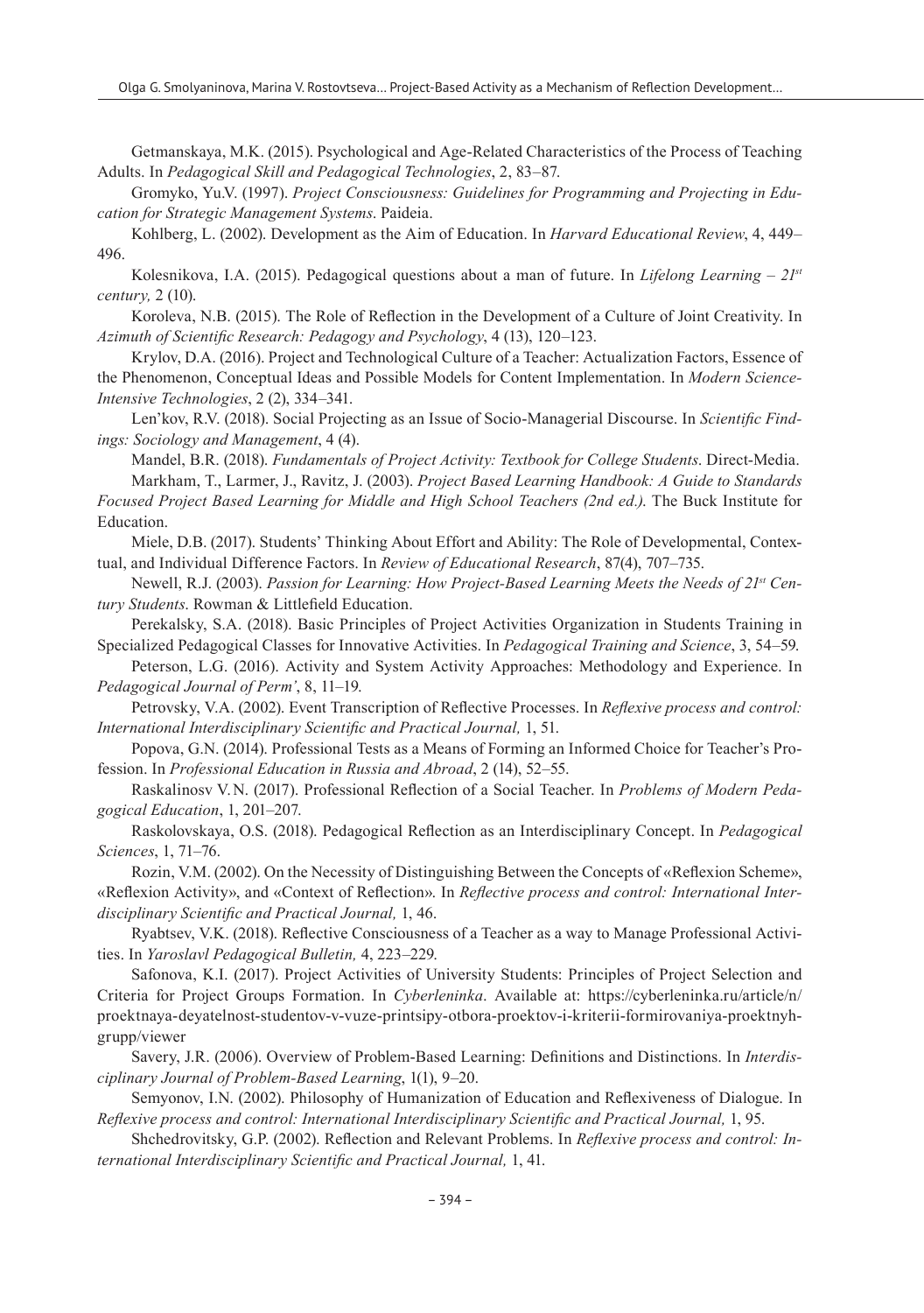Getmanskaya, M.K. (2015). Psychological and Age-Related Characteristics of the Process of Teaching Adults. In *Pedagogical Skill and Pedagogical Technologies*, 2, 83–87.

Gromyko, Yu.V. (1997). *Project Consciousness: Guidelines for Programming and Projecting in Education for Strategic Management Systems*. Paideia.

Kohlberg, L. (2002). Development as the Aim of Education. In *Harvard Educational Review*, 4, 449– 496.

Kolesnikova, I.A. (2015). Pedagogical questions about a man of future. In *Lifelong Learning – 21st century,* 2 (10).

Koroleva, N.B. (2015). The Role of Reflection in the Development of a Culture of Joint Creativity. In *Azimuth of Scientific Research: Pedagogy and Psychology*, 4 (13), 120–123.

Krylov, D.A. (2016). Project and Technological Culture of a Teacher: Actualization Factors, Essence of the Phenomenon, Conceptual Ideas and Possible Models for Content Implementation. In *Modern Science-Intensive Technologies*, 2 (2), 334–341.

Len'kov, R.V. (2018). Social Projecting as an Issue of Socio-Managerial Discourse. In *Scientific Findings: Sociology and Management*, 4 (4).

Mandel, B.R. (2018). *Fundamentals of Project Activity: Textbook for College Students*. Direct-Media. Markham, T., Larmer, J., Ravitz, J. (2003). *Project Based Learning Handbook: A Guide to Standards Focused Project Based Learning for Middle and High School Teachers (2nd ed.)*. The Buck Institute for Education.

Miele, D.B. (2017). Students' Thinking About Effort and Ability: The Role of Developmental, Contextual, and Individual Difference Factors. In *Review of Educational Research*, 87(4), 707–735.

Newell, R.J. (2003). *Passion for Learning: How Project-Based Learning Meets the Needs of 21st Century Students*. Rowman & Littlefield Education.

Perekalsky, S.A. (2018). Basic Principles of Project Activities Organization in Students Training in Specialized Pedagogical Classes for Innovative Activities. In *Pedagogical Training and Science*, 3, 54–59.

Peterson, L.G. (2016). Activity and System Activity Approaches: Methodology and Experience. In *Pedagogical Journal of Perm'*, 8, 11–19.

Petrovsky, V.A. (2002). Event Transcription of Reflective Processes. In *Reflexive process and control: International Interdisciplinary Scientific and Practical Journal,* 1, 51.

Popova, G.N. (2014). Professional Tests as a Means of Forming an Informed Choice for Teacher's Profession. In *Professional Education in Russia and Abroad*, 2 (14), 52–55.

Raskalinosv V.N. (2017). Professional Reflection of a Social Teacher. In *Problems of Modern Pedagogical Education*, 1, 201–207.

Raskolovskaya, O.S. (2018). Pedagogical Reflection as an Interdisciplinary Concept. In *Pedagogical Sciences*, 1, 71–76.

Rozin, V.M. (2002). On the Necessity of Distinguishing Between the Concepts of «Reflexion Scheme», «Reflexion Activity», and «Context of Reflection». In *Reflective process and control: International Interdisciplinary Scientific and Practical Journal,* 1, 46.

Ryabtsev, V.K. (2018). Reflective Consciousness of a Teacher as a way to Manage Professional Activities. In *Yaroslavl Pedagogical Bulletin,* 4, 223–229.

Safonova, K.I. (2017). Project Activities of University Students: Principles of Project Selection and Criteria for Project Groups Formation. In *Cyberleninka*. Available at: https://cyberleninka.ru/article/n/ proektnaya-deyatelnost-studentov-v-vuze-printsipy-otbora-proektov-i-kriterii-formirovaniya-proektnyhgrupp/viewer

Savery, J.R. (2006). Overview of Problem-Based Learning: Definitions and Distinctions. In *Interdisciplinary Journal of Problem-Based Learning*, 1(1), 9–20.

Semyonov, I.N. (2002). Philosophy of Humanization of Education and Reflexiveness of Dialogue. In *Reflexive process and control: International Interdisciplinary Scientific and Practical Journal,* 1, 95.

Shchedrovitsky, G.P. (2002). Reflection and Relevant Problems. In *Reflexive process and control: International Interdisciplinary Scientific and Practical Journal,* 1, 41.